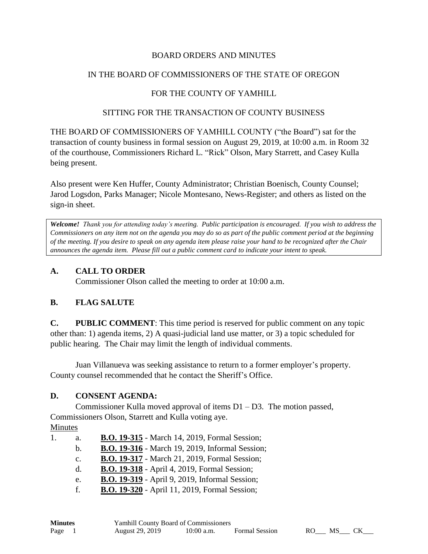#### BOARD ORDERS AND MINUTES

#### IN THE BOARD OF COMMISSIONERS OF THE STATE OF OREGON

## FOR THE COUNTY OF YAMHILL

#### SITTING FOR THE TRANSACTION OF COUNTY BUSINESS

THE BOARD OF COMMISSIONERS OF YAMHILL COUNTY ("the Board") sat for the transaction of county business in formal session on August 29, 2019, at 10:00 a.m. in Room 32 of the courthouse, Commissioners Richard L. "Rick" Olson, Mary Starrett, and Casey Kulla being present.

Also present were Ken Huffer, County Administrator; Christian Boenisch, County Counsel; Jarod Logsdon, Parks Manager; Nicole Montesano, News-Register; and others as listed on the sign-in sheet.

*Welcome! Thank you for attending today's meeting. Public participation is encouraged. If you wish to address the Commissioners on any item not on the agenda you may do so as part of the public comment period at the beginning of the meeting. If you desire to speak on any agenda item please raise your hand to be recognized after the Chair announces the agenda item. Please fill out a public comment card to indicate your intent to speak.*

#### **A. CALL TO ORDER**

Commissioner Olson called the meeting to order at 10:00 a.m.

## **B. FLAG SALUTE**

**C. PUBLIC COMMENT**: This time period is reserved for public comment on any topic other than: 1) agenda items, 2) A quasi-judicial land use matter, or 3) a topic scheduled for public hearing. The Chair may limit the length of individual comments.

Juan Villanueva was seeking assistance to return to a former employer's property. County counsel recommended that he contact the Sheriff's Office.

## **D. CONSENT AGENDA:**

Commissioner Kulla moved approval of items D1 – D3. The motion passed, Commissioners Olson, Starrett and Kulla voting aye.

Minutes

|  |  |  |  |  |  |  |  | <b>B.O. 19-315</b> - March 14, 2019, Formal Session; |
|--|--|--|--|--|--|--|--|------------------------------------------------------|
|--|--|--|--|--|--|--|--|------------------------------------------------------|

b. **B.O. 19-316** - March 19, 2019, Informal Session;

- c. **B.O. 19-317** March 21, 2019, Formal Session;
- d. **B.O. 19-318** April 4, 2019, Formal Session;
- e. **B.O. 19-319** April 9, 2019, Informal Session;
- f. **B.O. 19-320** April 11, 2019, Formal Session;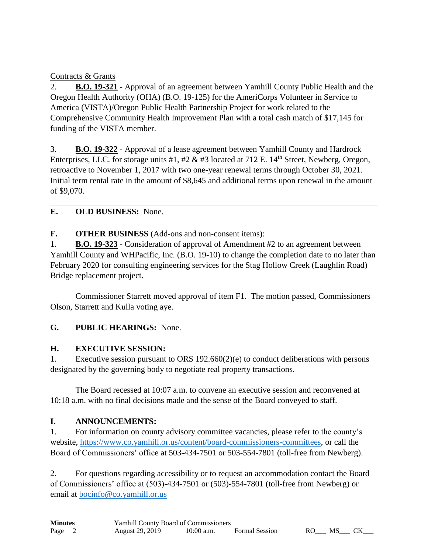## Contracts & Grants

2. **B.O. 19-321** - Approval of an agreement between Yamhill County Public Health and the Oregon Health Authority (OHA) (B.O. 19-125) for the AmeriCorps Volunteer in Service to America (VISTA)/Oregon Public Health Partnership Project for work related to the Comprehensive Community Health Improvement Plan with a total cash match of \$17,145 for funding of the VISTA member.

3. **B.O. 19-322** - Approval of a lease agreement between Yamhill County and Hardrock Enterprises, LLC. for storage units #1, #2  $\&$  #3 located at 712 E. 14<sup>th</sup> Street, Newberg, Oregon, retroactive to November 1, 2017 with two one-year renewal terms through October 30, 2021. Initial term rental rate in the amount of \$8,645 and additional terms upon renewal in the amount of \$9,070.

# **E. OLD BUSINESS:** None.

# **F. OTHER BUSINESS** (Add-ons and non-consent items):

1. **B.O. 19-323** - Consideration of approval of Amendment #2 to an agreement between Yamhill County and WHPacific, Inc. (B.O. 19-10) to change the completion date to no later than February 2020 for consulting engineering services for the Stag Hollow Creek (Laughlin Road) Bridge replacement project.

Commissioner Starrett moved approval of item F1. The motion passed, Commissioners Olson, Starrett and Kulla voting aye.

# **G. PUBLIC HEARINGS:** None.

# **H. EXECUTIVE SESSION:**

1. Executive session pursuant to ORS 192.660(2)(e) to conduct deliberations with persons designated by the governing body to negotiate real property transactions.

The Board recessed at 10:07 a.m. to convene an executive session and reconvened at 10:18 a.m. with no final decisions made and the sense of the Board conveyed to staff.

# **I. ANNOUNCEMENTS:**

1. For information on county advisory committee vacancies, please refer to the county's website, [https://www.co.yamhill.or.us/content/board-commissioners-committees,](https://www.co.yamhill.or.us/content/board-commissioners-committees) or call the Board of Commissioners' office at 503-434-7501 or 503-554-7801 (toll-free from Newberg).

2. For questions regarding accessibility or to request an accommodation contact the Board of Commissioners' office at (503)-434-7501 or (503)-554-7801 (toll-free from Newberg) or email at [bocinfo@co.yamhill.or.us](mailto:bocinfo@co.yamhill.or.us)